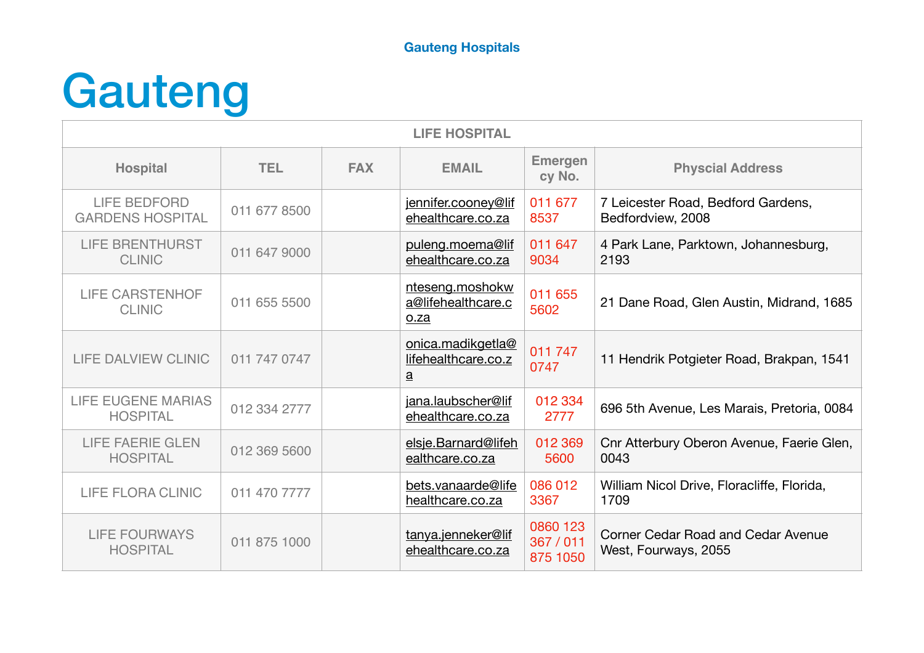# Gauteng

| <b>LIFE HOSPITAL</b>                           |              |            |                                                             |                                   |                                                            |  |
|------------------------------------------------|--------------|------------|-------------------------------------------------------------|-----------------------------------|------------------------------------------------------------|--|
| <b>Hospital</b>                                | TEL.         | <b>FAX</b> | <b>EMAIL</b>                                                | <b>Emergen</b><br>cy No.          | <b>Physcial Address</b>                                    |  |
| <b>LIFE BEDFORD</b><br><b>GARDENS HOSPITAL</b> | 011 677 8500 |            | jennifer.cooney@lif<br>ehealthcare.co.za                    | 011 677<br>8537                   | 7 Leicester Road, Bedford Gardens,<br>Bedfordview, 2008    |  |
| <b>LIFE BRENTHURST</b><br><b>CLINIC</b>        | 011 647 9000 |            | puleng.moema@lif<br>ehealthcare.co.za                       | 011 647<br>9034                   | 4 Park Lane, Parktown, Johannesburg,<br>2193               |  |
| <b>LIFE CARSTENHOF</b><br><b>CLINIC</b>        | 011 655 5500 |            | nteseng.moshokw<br>a@lifehealthcare.c<br>o.za               | 011 655<br>5602                   | 21 Dane Road, Glen Austin, Midrand, 1685                   |  |
| LIFE DALVIEW CLINIC                            | 011 747 0747 |            | onica.madikgetla@<br>lifehealthcare.co.z<br>$\underline{a}$ | 011 747<br>0747                   | 11 Hendrik Potgieter Road, Brakpan, 1541                   |  |
| <b>LIFE EUGENE MARIAS</b><br><b>HOSPITAL</b>   | 012 334 2777 |            | jana.laubscher@lif<br>ehealthcare.co.za                     | 012 334<br>2777                   | 696 5th Avenue, Les Marais, Pretoria, 0084                 |  |
| <b>LIFE FAERIE GLEN</b><br><b>HOSPITAL</b>     | 012 369 5600 |            | elsje.Barnard@lifeh<br>ealthcare.co.za                      | 012 369<br>5600                   | Cnr Atterbury Oberon Avenue, Faerie Glen,<br>0043          |  |
| <b>LIFE FLORA CLINIC</b>                       | 011 470 7777 |            | bets.vanaarde@life<br>healthcare.co.za                      | 086 012<br>3367                   | William Nicol Drive, Floracliffe, Florida,<br>1709         |  |
| <b>LIFE FOURWAYS</b><br><b>HOSPITAL</b>        | 011 875 1000 |            | tanya.jenneker@lif<br>ehealthcare.co.za                     | 0860 123<br>367 / 011<br>875 1050 | Corner Cedar Road and Cedar Avenue<br>West, Fourways, 2055 |  |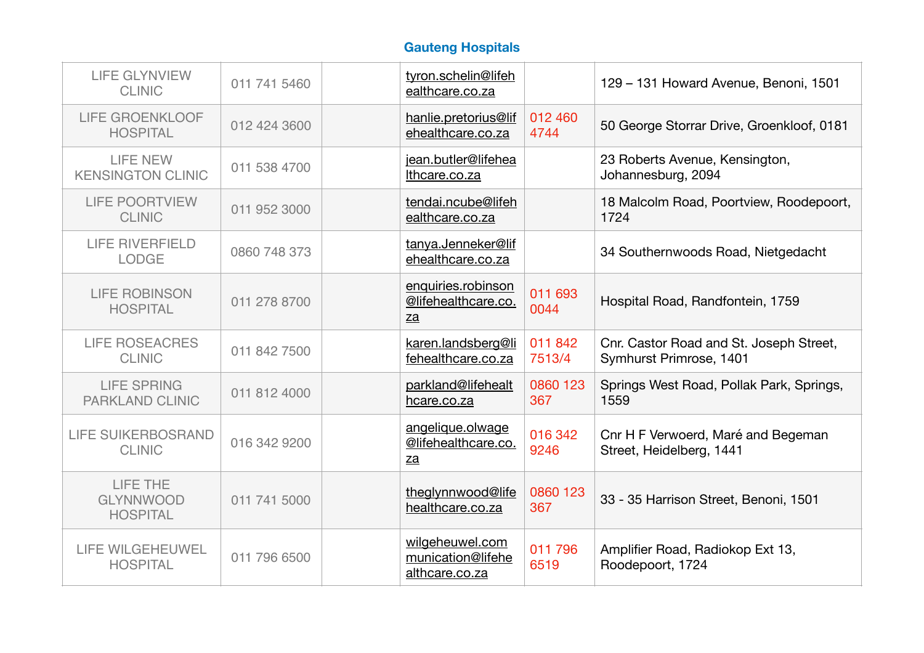| <b>LIFE GLYNVIEW</b><br><b>CLINIC</b>           | 011 741 5460 | tyron.schelin@lifeh<br>ealthcare.co.za                    |                   | 129 - 131 Howard Avenue, Benoni, 1501                              |
|-------------------------------------------------|--------------|-----------------------------------------------------------|-------------------|--------------------------------------------------------------------|
| <b>LIFE GROENKLOOF</b><br><b>HOSPITAL</b>       | 012 424 3600 | hanlie.pretorius@lif<br>ehealthcare.co.za                 | 012 460<br>4744   | 50 George Storrar Drive, Groenkloof, 0181                          |
| <b>LIFE NEW</b><br><b>KENSINGTON CLINIC</b>     | 011 538 4700 | jean.butler@lifehea<br>Ithcare.co.za                      |                   | 23 Roberts Avenue, Kensington,<br>Johannesburg, 2094               |
| <b>LIFE POORTVIEW</b><br><b>CLINIC</b>          | 011 952 3000 | tendai.ncube@lifeh<br>ealthcare.co.za                     |                   | 18 Malcolm Road, Poortview, Roodepoort,<br>1724                    |
| <b>LIFE RIVERFIELD</b><br><b>LODGE</b>          | 0860 748 373 | tanya.Jenneker@lif<br>ehealthcare.co.za                   |                   | 34 Southernwoods Road, Nietgedacht                                 |
| <b>LIFE ROBINSON</b><br><b>HOSPITAL</b>         | 011 278 8700 | enquiries.robinson<br>@lifehealthcare.co.<br>za           | 011 693<br>0044   | Hospital Road, Randfontein, 1759                                   |
| <b>LIFE ROSEACRES</b><br><b>CLINIC</b>          | 011 842 7500 | karen.landsberg@li<br>fehealthcare.co.za                  | 011 842<br>7513/4 | Cnr. Castor Road and St. Joseph Street,<br>Symhurst Primrose, 1401 |
| <b>LIFE SPRING</b><br><b>PARKLAND CLINIC</b>    | 011 812 4000 | parkland@lifehealt<br>hcare.co.za                         | 0860 123<br>367   | Springs West Road, Pollak Park, Springs,<br>1559                   |
| <b>LIFE SUIKERBOSRAND</b><br><b>CLINIC</b>      | 016 342 9200 | angelique.olwage<br>@lifehealthcare.co.<br>$\mathbf{z}$ a | 016 342<br>9246   | Cnr H F Verwoerd, Maré and Begeman<br>Street, Heidelberg, 1441     |
| LIFE THE<br><b>GLYNNWOOD</b><br><b>HOSPITAL</b> | 011 741 5000 | theglynnwood@life<br>healthcare.co.za                     | 0860 123<br>367   | 33 - 35 Harrison Street, Benoni, 1501                              |
| <b>LIFE WILGEHEUWEL</b><br><b>HOSPITAL</b>      | 011 796 6500 | wilgeheuwel.com<br>munication@lifehe<br>althcare.co.za    | 011 796<br>6519   | Amplifier Road, Radiokop Ext 13,<br>Roodepoort, 1724               |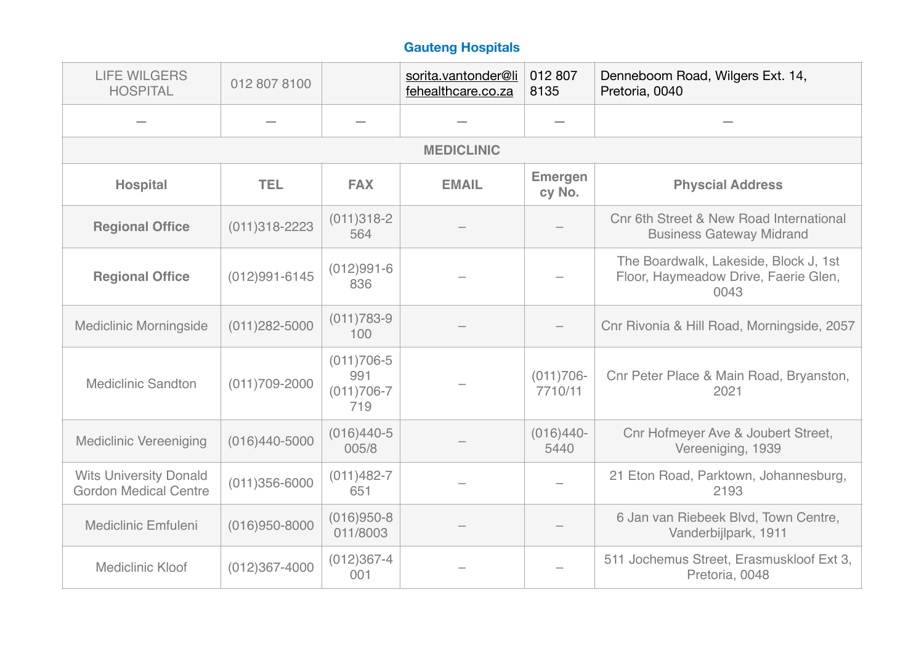| <b>LIFE WILGERS</b><br><b>HOSPITAL</b>                        | 012 807 8100      |                                                | sorita.vantonder@li<br>fehealthcare.co.za | 012 807<br>8135          | Denneboom Road, Wilgers Ext. 14,<br>Pretoria, 0040                                    |  |  |  |  |
|---------------------------------------------------------------|-------------------|------------------------------------------------|-------------------------------------------|--------------------------|---------------------------------------------------------------------------------------|--|--|--|--|
|                                                               |                   |                                                |                                           |                          |                                                                                       |  |  |  |  |
|                                                               | <b>MEDICLINIC</b> |                                                |                                           |                          |                                                                                       |  |  |  |  |
| <b>Hospital</b>                                               | <b>TEL</b>        | <b>FAX</b>                                     | <b>EMAIL</b>                              | <b>Emergen</b><br>cy No. | <b>Physcial Address</b>                                                               |  |  |  |  |
| <b>Regional Office</b>                                        | $(011)318 - 2223$ | $(011)318-2$<br>564                            |                                           |                          | Cnr 6th Street & New Road International<br><b>Business Gateway Midrand</b>            |  |  |  |  |
| <b>Regional Office</b>                                        | $(012)991 - 6145$ | $(012)991 - 6$<br>836                          |                                           |                          | The Boardwalk, Lakeside, Block J, 1st<br>Floor, Haymeadow Drive, Faerie Glen,<br>0043 |  |  |  |  |
| <b>Mediclinic Morningside</b>                                 | $(011)282 - 5000$ | $(011)783-9$<br>100                            |                                           |                          | Cnr Rivonia & Hill Road, Morningside, 2057                                            |  |  |  |  |
| <b>Mediclinic Sandton</b>                                     | $(011)709 - 2000$ | $(011)706 - 5$<br>991<br>$(011)706 - 7$<br>719 |                                           | $(011)706 -$<br>7710/11  | Cnr Peter Place & Main Road, Bryanston,<br>2021                                       |  |  |  |  |
| <b>Mediclinic Vereeniging</b>                                 | $(016)440 - 5000$ | $(016)440-5$<br>005/8                          |                                           | $(016)440-$<br>5440      | Cnr Hofmeyer Ave & Joubert Street,<br>Vereeniging, 1939                               |  |  |  |  |
| <b>Wits University Donald</b><br><b>Gordon Medical Centre</b> | $(011)356 - 6000$ | $(011)482 - 7$<br>651                          |                                           |                          | 21 Eton Road, Parktown, Johannesburg,<br>2193                                         |  |  |  |  |
| <b>Mediclinic Emfuleni</b>                                    | $(016)950 - 8000$ | $(016)950-8$<br>011/8003                       |                                           |                          | 6 Jan van Riebeek Blvd, Town Centre,<br>Vanderbijlpark, 1911                          |  |  |  |  |
| <b>Mediclinic Kloof</b>                                       | $(012)367 - 4000$ | $(012)367 - 4$<br>001                          |                                           |                          | 511 Jochemus Street, Erasmuskloof Ext 3,<br>Pretoria, 0048                            |  |  |  |  |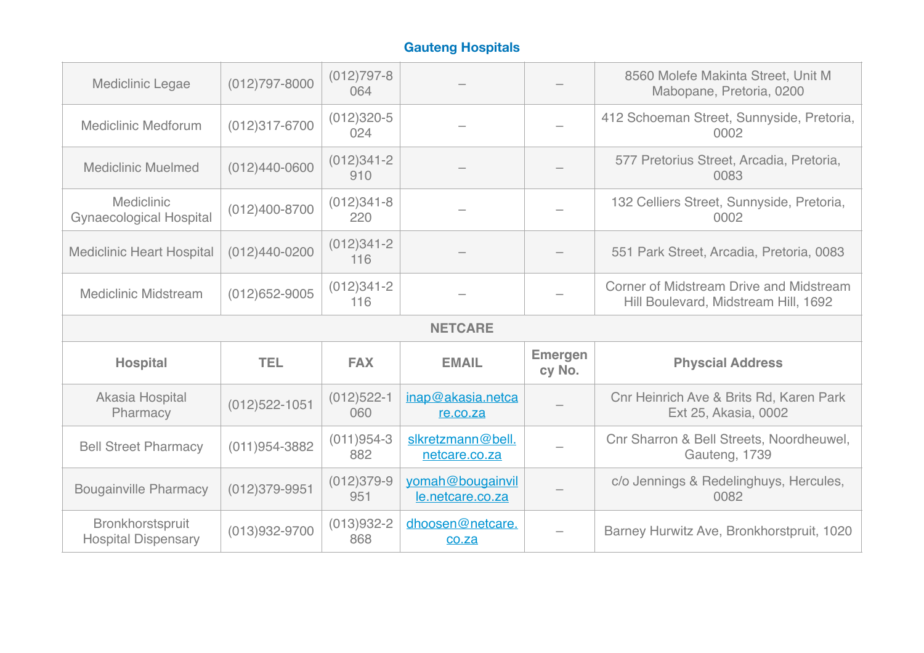| Mediclinic Legae                             | $(012)797 - 8000$ | $(012)797 - 8$<br>064 |                                      |                          | 8560 Molefe Makinta Street, Unit M<br>Mabopane, Pretoria, 0200                         |  |  |
|----------------------------------------------|-------------------|-----------------------|--------------------------------------|--------------------------|----------------------------------------------------------------------------------------|--|--|
| <b>Mediclinic Medforum</b>                   | $(012)317 - 6700$ | $(012)320 - 5$<br>024 |                                      |                          | 412 Schoeman Street, Sunnyside, Pretoria,<br>0002                                      |  |  |
| <b>Mediclinic Muelmed</b>                    | $(012)440 - 0600$ | $(012)341 - 2$<br>910 |                                      |                          | 577 Pretorius Street, Arcadia, Pretoria,<br>0083                                       |  |  |
| Mediclinic<br><b>Gynaecological Hospital</b> | $(012)400 - 8700$ | $(012)341-8$<br>220   |                                      |                          | 132 Celliers Street, Sunnyside, Pretoria,<br>0002                                      |  |  |
| <b>Mediclinic Heart Hospital</b>             | $(012)440 - 0200$ | $(012)341 - 2$<br>116 |                                      |                          | 551 Park Street, Arcadia, Pretoria, 0083                                               |  |  |
| <b>Mediclinic Midstream</b>                  | $(012)652 - 9005$ | $(012)341 - 2$<br>116 |                                      |                          | <b>Corner of Midstream Drive and Midstream</b><br>Hill Boulevard, Midstream Hill, 1692 |  |  |
| <b>NETCARE</b>                               |                   |                       |                                      |                          |                                                                                        |  |  |
|                                              |                   |                       |                                      |                          |                                                                                        |  |  |
| <b>Hospital</b>                              | <b>TEL</b>        | <b>FAX</b>            | <b>EMAIL</b>                         | <b>Emergen</b><br>cy No. | <b>Physcial Address</b>                                                                |  |  |
| Akasia Hospital<br>Pharmacy                  | $(012)522 - 1051$ | $(012)522 - 1$<br>060 | inap@akasia.netca<br>re.co.za        |                          | Cnr Heinrich Ave & Brits Rd, Karen Park<br>Ext 25, Akasia, 0002                        |  |  |
| <b>Bell Street Pharmacy</b>                  | $(011)954 - 3882$ | $(011)954-3$<br>882   | slkretzmann@bell.<br>netcare.co.za   |                          | Cnr Sharron & Bell Streets, Noordheuwel,<br>Gauteng, 1739                              |  |  |
| <b>Bougainville Pharmacy</b>                 | $(012)379 - 9951$ | $(012)379-9$<br>951   | yomah@bougainvil<br>le.netcare.co.za |                          | c/o Jennings & Redelinghuys, Hercules,<br>0082                                         |  |  |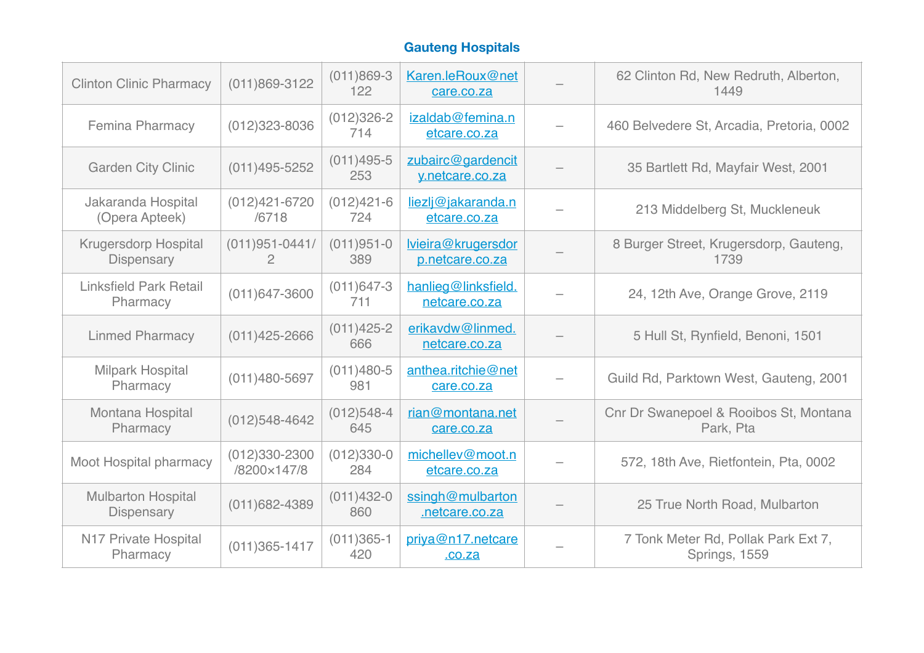| <b>Clinton Clinic Pharmacy</b>                 | $(011)869 - 3122$                    | $(011)869-3$<br>122   | Karen.leRoux@net<br>care.co.za        | 62 Clinton Rd, New Redruth, Alberton,<br>1449        |
|------------------------------------------------|--------------------------------------|-----------------------|---------------------------------------|------------------------------------------------------|
| <b>Femina Pharmacy</b>                         | $(012)323 - 8036$                    | $(012)326 - 2$<br>714 | izaldab@femina.n<br>etcare.co.za      | 460 Belvedere St, Arcadia, Pretoria, 0002            |
| <b>Garden City Clinic</b>                      | $(011)495 - 5252$                    | $(011)495 - 5$<br>253 | zubairc@gardencit<br>y.netcare.co.za  | 35 Bartlett Rd, Mayfair West, 2001                   |
| Jakaranda Hospital<br>(Opera Apteek)           | $(012)421 - 6720$<br>/6718           | $(012)421 - 6$<br>724 | liezlj@jakaranda.n<br>etcare.co.za    | 213 Middelberg St, Muckleneuk                        |
| <b>Krugersdorp Hospital</b><br>Dispensary      | $(011)951 - 0441/$<br>$\overline{2}$ | $(011)951 - 0$<br>389 | lvieira@krugersdor<br>p.netcare.co.za | 8 Burger Street, Krugersdorp, Gauteng,<br>1739       |
| <b>Linksfield Park Retail</b><br>Pharmacy      | $(011)647 - 3600$                    | $(011)647 - 3$<br>711 | hanlieg@linksfield.<br>netcare.co.za  | 24, 12th Ave, Orange Grove, 2119                     |
| <b>Linmed Pharmacy</b>                         | $(011)425 - 2666$                    | $(011)425 - 2$<br>666 | erikavdw@linmed.<br>netcare.co.za     | 5 Hull St, Rynfield, Benoni, 1501                    |
| <b>Milpark Hospital</b><br>Pharmacy            | $(011)480 - 5697$                    | $(011)480-5$<br>981   | anthea.ritchie@net<br>care.co.za      | Guild Rd, Parktown West, Gauteng, 2001               |
| Montana Hospital<br>Pharmacy                   | $(012)548 - 4642$                    | $(012)548-4$<br>645   | rian@montana.net<br>care.co.za        | Cnr Dr Swanepoel & Rooibos St, Montana<br>Park, Pta  |
| Moot Hospital pharmacy                         | $(012)330 - 2300$<br>/8200×147/8     | $(012)330-0$<br>284   | michellev@moot.n<br>etcare.co.za      | 572, 18th Ave, Rietfontein, Pta, 0002                |
| <b>Mulbarton Hospital</b><br><b>Dispensary</b> | $(011)682 - 4389$                    | $(011)432 - 0$<br>860 | ssingh@mulbarton<br>netcare.co.za     | 25 True North Road, Mulbarton                        |
| N17 Private Hospital<br>Pharmacy               | $(011)365 - 1417$                    | $(011)365-1$<br>420   | priya@n17.netcare<br>.00.2a           | 7 Tonk Meter Rd, Pollak Park Ext 7,<br>Springs, 1559 |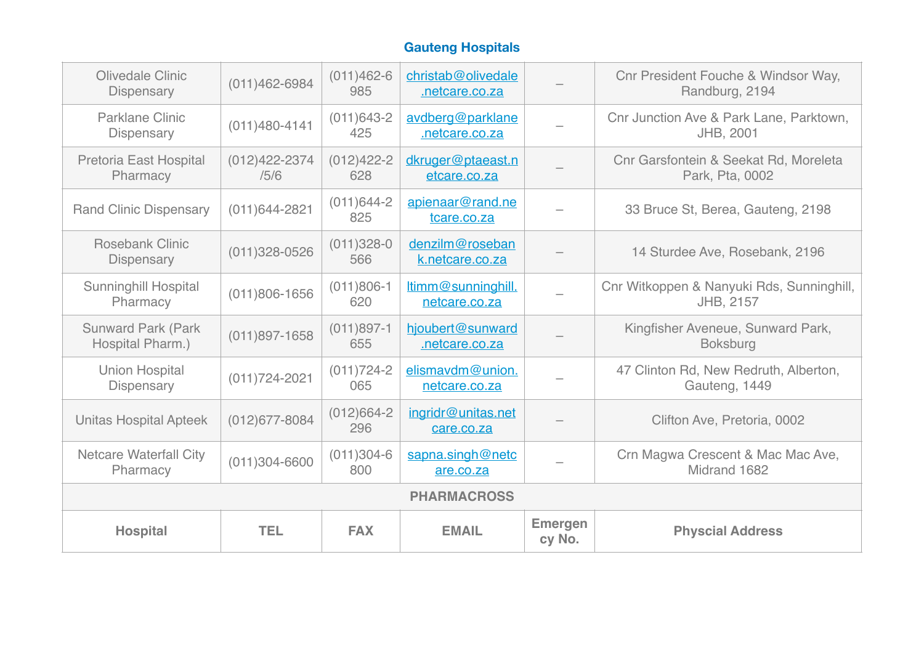| Olivedale Clinic<br>Dispensary                | $(011)462 - 6984$         | $(011)462-6$<br>985   | christab@olivedale<br>netcare.co.za |                          | Cnr President Fouche & Windsor Way,<br>Randburg, 2194    |  |  |
|-----------------------------------------------|---------------------------|-----------------------|-------------------------------------|--------------------------|----------------------------------------------------------|--|--|
| Parklane Clinic<br><b>Dispensary</b>          | $(011)480 - 4141$         | $(011)643-2$<br>425   | avdberg@parklane<br>.netcare.co.za  |                          | Cnr Junction Ave & Park Lane, Parktown,<br>JHB, 2001     |  |  |
| Pretoria East Hospital<br>Pharmacy            | $(012)422 - 2374$<br>/5/6 | $(012)422 - 2$<br>628 | dkruger@ptaeast.n<br>etcare.co.za   |                          | Cnr Garsfontein & Seekat Rd, Moreleta<br>Park, Pta, 0002 |  |  |
| <b>Rand Clinic Dispensary</b>                 | $(011)644 - 2821$         | $(011)644-2$<br>825   | apienaar@rand.ne<br>tcare.co.za     |                          | 33 Bruce St, Berea, Gauteng, 2198                        |  |  |
| <b>Rosebank Clinic</b><br><b>Dispensary</b>   | $(011)328 - 0526$         | $(011)328 - 0$<br>566 | denzilm@roseban<br>k.netcare.co.za  |                          | 14 Sturdee Ave, Rosebank, 2196                           |  |  |
| <b>Sunninghill Hospital</b><br>Pharmacy       | $(011)806 - 1656$         | $(011)806-1$<br>620   | ltimm@sunninghill.<br>netcare.co.za |                          | Cnr Witkoppen & Nanyuki Rds, Sunninghill,<br>JHB, 2157   |  |  |
| <b>Sunward Park (Park</b><br>Hospital Pharm.) | $(011)897 - 1658$         | $(011)897-1$<br>655   | hjoubert@sunward<br>netcare.co.za   |                          | Kingfisher Aveneue, Sunward Park,<br><b>Boksburg</b>     |  |  |
| <b>Union Hospital</b><br><b>Dispensary</b>    | $(011)724 - 2021$         | $(011)724-2$<br>065   | elismavdm@union.<br>netcare.co.za   |                          | 47 Clinton Rd, New Redruth, Alberton,<br>Gauteng, 1449   |  |  |
| <b>Unitas Hospital Apteek</b>                 | $(012)677 - 8084$         | $(012)664 - 2$<br>296 | ingridr@unitas.net<br>care.co.za    |                          | Clifton Ave, Pretoria, 0002                              |  |  |
| <b>Netcare Waterfall City</b><br>Pharmacy     | $(011)304 - 6600$         | $(011)304-6$<br>800   | sapna.singh@netc<br>are.co.za       |                          | Crn Magwa Crescent & Mac Mac Ave,<br>Midrand 1682        |  |  |
| <b>PHARMACROSS</b>                            |                           |                       |                                     |                          |                                                          |  |  |
| <b>Hospital</b>                               | <b>TEL</b>                | <b>FAX</b>            | <b>EMAIL</b>                        | <b>Emergen</b><br>cy No. | <b>Physcial Address</b>                                  |  |  |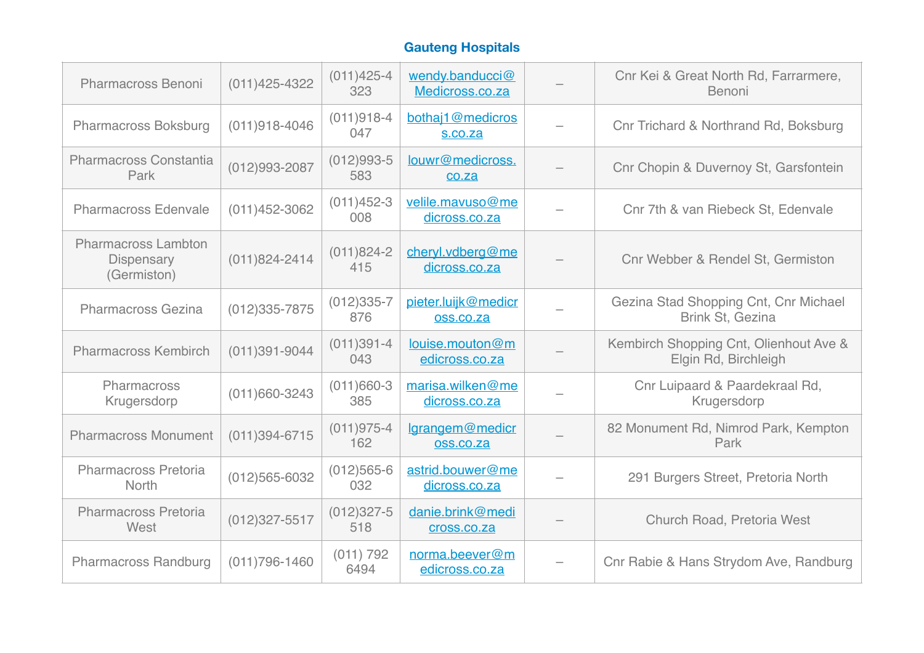| <b>Pharmacross Benoni</b>                               | $(011)425 - 4322$ | $(011)425 - 4$<br>323 | wendy.banducci@<br>Medicross.co.za | Cnr Kei & Great North Rd, Farrarmere,<br>Benoni                |
|---------------------------------------------------------|-------------------|-----------------------|------------------------------------|----------------------------------------------------------------|
| <b>Pharmacross Boksburg</b>                             | $(011)918 - 4046$ | $(011)918-4$<br>047   | bothaj1@medicros<br>s.co.za        | Cnr Trichard & Northrand Rd, Boksburg                          |
| Pharmacross Constantia<br>Park                          | $(012)993 - 2087$ | $(012)993-5$<br>583   | louwr@medicross.<br>co.za          | Cnr Chopin & Duvernoy St, Garsfontein                          |
| <b>Pharmacross Edenvale</b>                             | $(011)452 - 3062$ | $(011)452-3$<br>008   | velile.mavuso@me<br>dicross.co.za  | Cnr 7th & van Riebeck St, Edenvale                             |
| <b>Pharmacross Lambton</b><br>Dispensary<br>(Germiston) | $(011)824 - 2414$ | $(011)824 - 2$<br>415 | cheryl.vdberg@me<br>dicross.co.za  | Cnr Webber & Rendel St, Germiston                              |
| <b>Pharmacross Gezina</b>                               | $(012)335 - 7875$ | $(012)335-7$<br>876   | pieter.luijk@medicr<br>oss.co.za   | Gezina Stad Shopping Cnt, Cnr Michael<br>Brink St, Gezina      |
| <b>Pharmacross Kembirch</b>                             | $(011)391 - 9044$ | $(011)391 - 4$<br>043 | louise.mouton@m<br>edicross.co.za  | Kembirch Shopping Cnt, Olienhout Ave &<br>Elgin Rd, Birchleigh |
| Pharmacross<br>Krugersdorp                              | $(011)660 - 3243$ | $(011)660-3$<br>385   | marisa.wilken@me<br>dicross.co.za  | Cnr Luipaard & Paardekraal Rd,<br>Krugersdorp                  |
| <b>Pharmacross Monument</b>                             | $(011)394 - 6715$ | $(011)975 - 4$<br>162 | lgrangem@medicr<br>oss.co.za       | 82 Monument Rd, Nimrod Park, Kempton<br>Park                   |
| Pharmacross Pretoria<br>North                           | $(012)565 - 6032$ | $(012)565 - 6$<br>032 | astrid.bouwer@me<br>dicross.co.za  | 291 Burgers Street, Pretoria North                             |
| <b>Pharmacross Pretoria</b><br>West                     | $(012)327 - 5517$ | $(012)327 - 5$<br>518 | danie.brink@medi<br>cross.co.za    | Church Road, Pretoria West                                     |
| Pharmacross Randburg                                    | $(011)796 - 1460$ | (011) 792<br>6494     | norma.beever@m<br>edicross.co.za   | Cnr Rabie & Hans Strydom Ave, Randburg                         |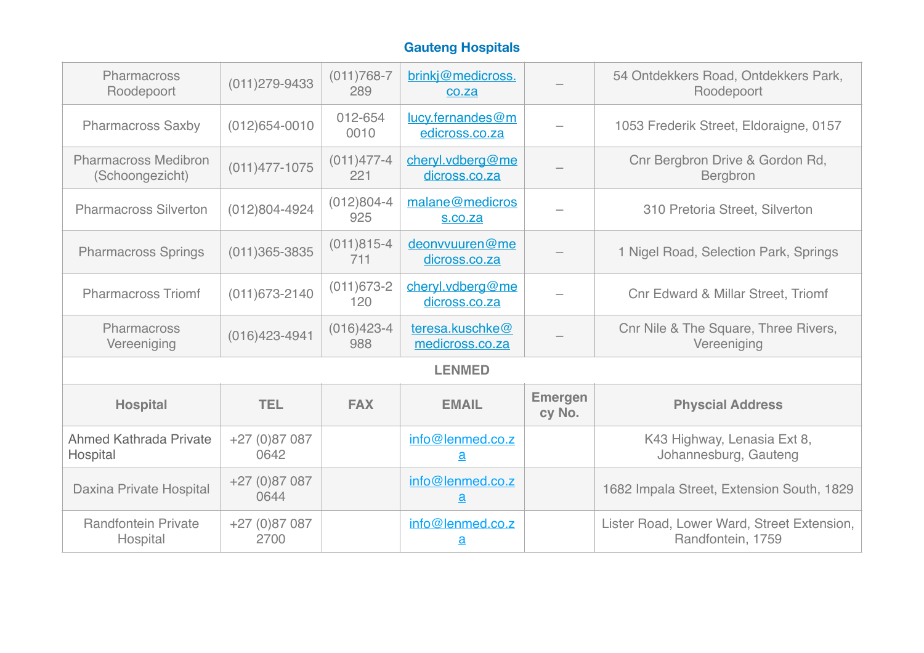| Pharmacross<br>Roodepoort                      | $(011)279 - 9433$     | $(011)768 - 7$<br>289 | brinkj@medicross.<br>co.za                   |                          | 54 Ontdekkers Road, Ontdekkers Park,<br>Roodepoort              |
|------------------------------------------------|-----------------------|-----------------------|----------------------------------------------|--------------------------|-----------------------------------------------------------------|
| <b>Pharmacross Saxby</b>                       | $(012)654 - 0010$     | 012-654<br>0010       | lucy.fernandes@m<br>edicross.co.za           |                          | 1053 Frederik Street, Eldoraigne, 0157                          |
| <b>Pharmacross Medibron</b><br>(Schoongezicht) | $(011)477 - 1075$     | $(011)477 - 4$<br>221 | cheryl.vdberg@me<br>dicross.co.za            |                          | Cnr Bergbron Drive & Gordon Rd,<br><b>Bergbron</b>              |
| <b>Pharmacross Silverton</b>                   | $(012)804 - 4924$     | $(012)804 - 4$<br>925 | malane@medicros<br>s.co.za                   |                          | 310 Pretoria Street, Silverton                                  |
| <b>Pharmacross Springs</b>                     | $(011)365 - 3835$     | $(011)815 - 4$<br>711 | deonvvuuren@me<br>dicross.co.za              |                          | 1 Nigel Road, Selection Park, Springs                           |
| <b>Pharmacross Triomf</b>                      | $(011)673 - 2140$     | $(011)673-2$<br>120   | cheryl.vdberg@me<br>dicross.co.za            |                          | <b>Cnr Edward &amp; Millar Street, Triomf</b>                   |
| Pharmacross<br>Vereeniging                     | $(016)423 - 4941$     | $(016)423 - 4$<br>988 | teresa.kuschke@<br>medicross.co.za           |                          | Cnr Nile & The Square, Three Rivers,<br>Vereeniging             |
|                                                |                       |                       | <b>LENMED</b>                                |                          |                                                                 |
| <b>Hospital</b>                                | <b>TEL</b>            | <b>FAX</b>            | <b>EMAIL</b>                                 | <b>Emergen</b><br>cy No. | <b>Physcial Address</b>                                         |
| <b>Ahmed Kathrada Private</b><br>Hospital      | $+27(0)87087$<br>0642 |                       | info@lenmed.co.z<br>$\underline{\mathbf{a}}$ |                          | K43 Highway, Lenasia Ext 8,<br>Johannesburg, Gauteng            |
| Daxina Private Hospital                        | $+27(0)87087$<br>0644 |                       | info@lenmed.co.z<br>$\underline{a}$          |                          | 1682 Impala Street, Extension South, 1829                       |
| <b>Randfontein Private</b><br>Hospital         | $+27(0)87087$<br>2700 |                       | info@lenmed.co.z<br>$\underline{\mathbf{a}}$ |                          | Lister Road, Lower Ward, Street Extension,<br>Randfontein, 1759 |